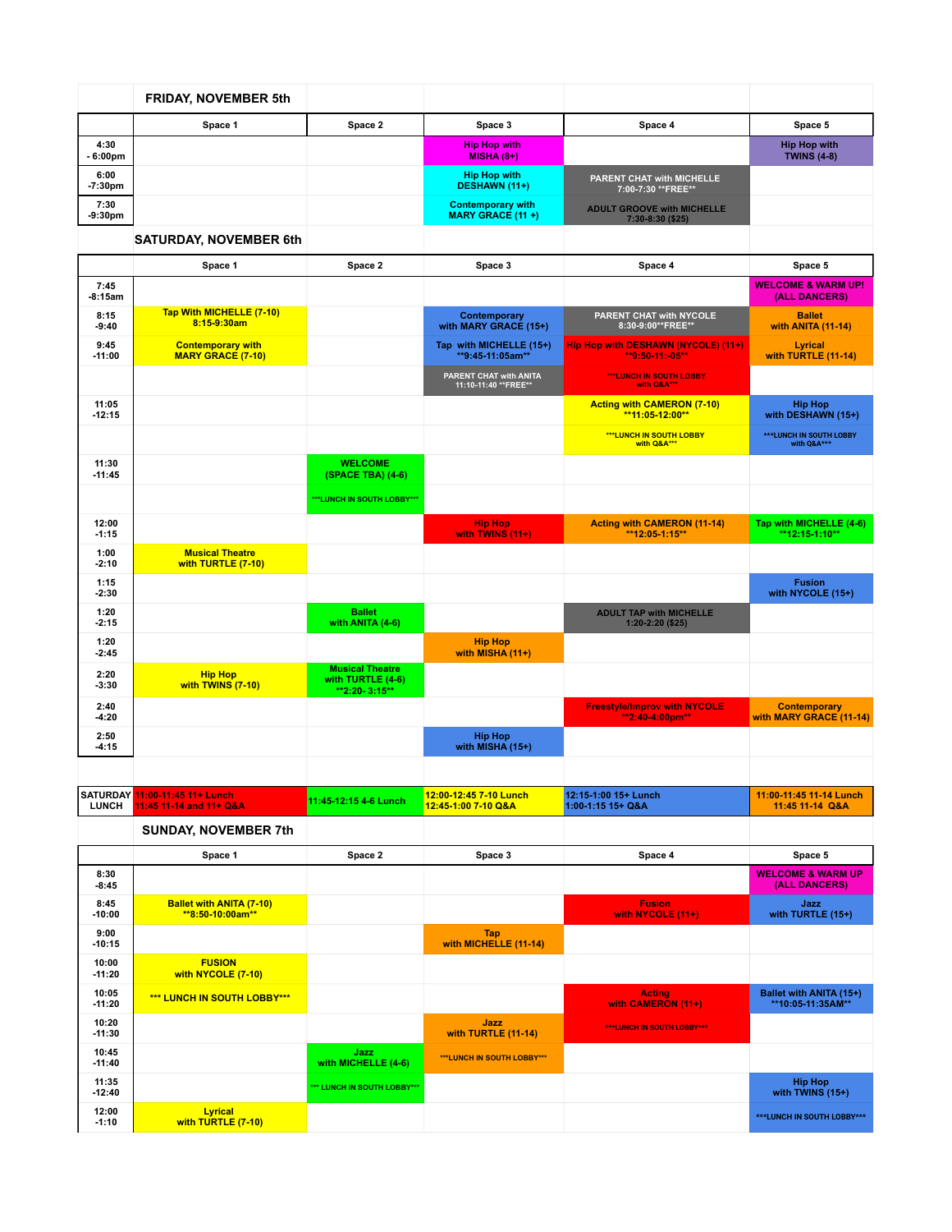|                   | <b>FRIDAY, NOVEMBER 5th</b>                          |                                                              |                                                     |                                                        |                                                |
|-------------------|------------------------------------------------------|--------------------------------------------------------------|-----------------------------------------------------|--------------------------------------------------------|------------------------------------------------|
|                   | Space 1                                              | Space 2                                                      | Space 3                                             | Space 4                                                | Space 5                                        |
| 4:30<br>- 6:00pm  |                                                      |                                                              | <b>Hip Hop with</b><br>$MISHA(8+)$                  |                                                        | <b>Hip Hop with</b><br><b>TWINS (4-8)</b>      |
| 6:00<br>$-7:30pm$ |                                                      |                                                              | <b>Hip Hop with</b><br><b>DESHAWN (11+)</b>         | PARENT CHAT with MICHELLE<br>7:00-7:30 ** FREE**       |                                                |
| 7:30<br>$-9:30pm$ |                                                      |                                                              | <b>Contemporary with</b><br><b>MARY GRACE (11+)</b> | <b>ADULT GROOVE with MICHELLE</b><br>7:30-8:30 (\$25)  |                                                |
|                   | <b>SATURDAY, NOVEMBER 6th</b>                        |                                                              |                                                     |                                                        |                                                |
|                   | Space 1                                              | Space 2                                                      | Space 3                                             | Space 4                                                | Space 5                                        |
| 7:45<br>$-8:15am$ |                                                      |                                                              |                                                     |                                                        | <b>WELCOME &amp; WARM UP!</b><br>(ALL DANCERS) |
| 8:15<br>$-9:40$   | Tap With MICHELLE (7-10)<br>8:15-9:30am              |                                                              | Contemporary<br>with MARY GRACE (15+)               | PARENT CHAT with NYCOLE<br>8:30-9:00**FREE**           | <b>Ballet</b><br>with ANITA (11-14)            |
| 9:45<br>$-11:00$  | <b>Contemporary with</b><br><b>MARY GRACE (7-10)</b> |                                                              | Tap with MICHELLE (15+)<br>**9:45-11:05am**         | Hip Hop with DESHAWN (NYCOLE) (11+)<br>**9:50-11:-05** | <b>Lyrical</b><br>with TURTLE (11-14)          |
|                   |                                                      |                                                              | PARENT CHAT with ANITA<br>11:10-11:40 ** FREE**     | ***LUNCH IN SOUTH LOBBY<br>with Q&A***                 |                                                |
| 11:05<br>$-12:15$ |                                                      |                                                              |                                                     | <b>Acting with CAMERON (7-10)</b><br>**11:05-12:00**   | <b>Hip Hop</b><br>with DESHAWN (15+)           |
|                   |                                                      |                                                              |                                                     | ***LUNCH IN SOUTH LOBBY<br>with Q&A***                 | <b>***LUNCH IN SOUTH LOBBY</b><br>with O&A***  |
| 11:30<br>$-11:45$ |                                                      | <b>WELCOME</b><br>(SPACE TBA) (4-6)                          |                                                     |                                                        |                                                |
|                   |                                                      | ***LUNCH IN SOUTH LOBBY***                                   |                                                     |                                                        |                                                |
| 12:00<br>$-1:15$  |                                                      |                                                              | <b>Hip Hop</b><br>with TWINS (11+)                  | <b>Acting with CAMERON (11-14)</b><br>**12:05-1:15**   | Tap with MICHELLE (4-6)<br>**12:15-1:10**      |
| 1:00<br>$-2:10$   | <b>Musical Theatre</b><br>with TURTLE (7-10)         |                                                              |                                                     |                                                        |                                                |
| 1:15<br>$-2:30$   |                                                      |                                                              |                                                     |                                                        | <b>Fusion</b><br>with NYCOLE (15+)             |
| 1:20<br>$-2:15$   |                                                      | <b>Ballet</b><br>with ANITA (4-6)                            |                                                     | <b>ADULT TAP with MICHELLE</b><br>1:20-2:20 (\$25)     |                                                |
| 1:20<br>$-2:45$   |                                                      |                                                              | <b>Hip Hop</b><br>with MISHA (11+)                  |                                                        |                                                |
| 2:20<br>$-3:30$   | <b>Hip Hop</b><br>with TWINS (7-10)                  | <b>Musical Theatre</b><br>with TURTLE (4-6)<br>**2:20-3:15** |                                                     |                                                        |                                                |
| 2:40<br>$-4:20$   |                                                      |                                                              |                                                     | <b>Freestyle/Improv with NYCOLE</b><br>**2:40-4:00pm** | <b>Contemporary</b><br>with MARY GRACE (11-14) |
| 2:50<br>$-4:15$   |                                                      |                                                              | <b>Hip Hop</b><br>with MISHA (15+)                  |                                                        |                                                |
|                   |                                                      |                                                              |                                                     |                                                        |                                                |

| <b>ISATURDAY 11:00-11:45 11+ Lunch</b><br>LUNCH 11:45 11-14 and 11+ O&A | 11:45-12:15 4-6 Lunch | 12:00-12:45 7-10 Lunch<br>12:45-1:00 7-10 O&A | $12:15-1:00$ 15+ Lunch<br>$1:00 - 1:15 + O&A$ | 11:00-11:45 11-14 Lunch<br>11:45 11-14 Q&A |
|-------------------------------------------------------------------------|-----------------------|-----------------------------------------------|-----------------------------------------------|--------------------------------------------|
| <b>SUNDAY, NOVEMBER 7th</b>                                             |                       |                                               |                                               |                                            |

|                   | Space 1                                               | Space 2                     | Space 3                      | Space 4                             | Space 5                                       |
|-------------------|-------------------------------------------------------|-----------------------------|------------------------------|-------------------------------------|-----------------------------------------------|
| 8:30<br>$-8:45$   |                                                       |                             |                              |                                     | <b>WELCOME &amp; WARM UP</b><br>(ALL DANCERS) |
| 8:45<br>$-10:00$  | <b>Ballet with ANITA (7-10)</b><br>$**8:50-10:00am**$ |                             |                              | <b>Fusion</b><br>with NYCOLE (11+)  | Jazz<br>with TURTLE (15+)                     |
| 9:00<br>$-10:15$  |                                                       |                             | Tap<br>with MICHELLE (11-14) |                                     |                                               |
| 10:00<br>$-11:20$ | <b>FUSION</b><br>with NYCOLE (7-10)                   |                             |                              |                                     |                                               |
| 10:05<br>$-11:20$ | *** LUNCH IN SOUTH LOBBY***                           |                             |                              | <b>Acting</b><br>with CAMERON (11+) | Ballet with ANITA (15+)<br>**10:05-11:35AM**  |
| 10:20<br>$-11:30$ |                                                       |                             | Jazz<br>with TURTLE (11-14)  | <b>***LUNCH IN SOUTH LOBBY***</b>   |                                               |
| 10:45<br>$-11:40$ |                                                       | Jazz<br>with MICHELLE (4-6) | ***LUNCH IN SOUTH LOBBY***   |                                     |                                               |
| 11:35<br>$-12:40$ |                                                       | *** LUNCH IN SOUTH LOBBY*** |                              |                                     | <b>Hip Hop</b><br>with TWINS $(15+)$          |
| 12:00<br>$-1:10$  | <b>Lyrical</b><br>with TURTLE (7-10)                  |                             |                              |                                     | <b>***LUNCH IN SOUTH LOBBY***</b>             |